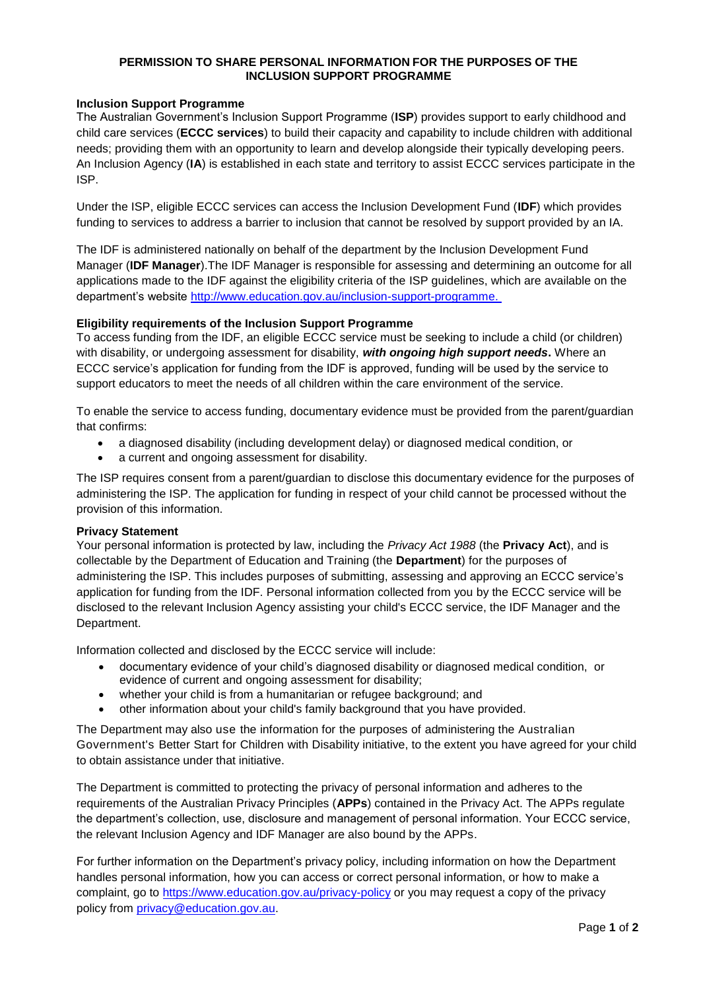### **PERMISSION TO SHARE PERSONAL INFORMATION FOR THE PURPOSES OF THE INCLUSION SUPPORT PROGRAMME**

## **Inclusion Support Programme**

The Australian Government's Inclusion Support Programme (**ISP**) provides support to early childhood and child care services (**ECCC services**) to build their capacity and capability to include children with additional needs; providing them with an opportunity to learn and develop alongside their typically developing peers. An Inclusion Agency (**IA**) is established in each state and territory to assist ECCC services participate in the ISP.

Under the ISP, eligible ECCC services can access the Inclusion Development Fund (**IDF**) which provides funding to services to address a barrier to inclusion that cannot be resolved by support provided by an IA.

The IDF is administered nationally on behalf of the department by the Inclusion Development Fund Manager (**IDF Manager**).The IDF Manager is responsible for assessing and determining an outcome for all applications made to the IDF against the eligibility criteria of the ISP guidelines, which are available on the department's website [http://www.education.gov.au/inclusion-support-programme.](http://www.education.gov.au/inclusion-support-programme)

## **Eligibility requirements of the Inclusion Support Programme**

To access funding from the IDF, an eligible ECCC service must be seeking to include a child (or children) with disability, or undergoing assessment for disability, *with ongoing high support needs***.** Where an ECCC service's application for funding from the IDF is approved, funding will be used by the service to support educators to meet the needs of all children within the care environment of the service.

To enable the service to access funding, documentary evidence must be provided from the parent/guardian that confirms:

- a diagnosed disability (including development delay) or diagnosed medical condition, or
- a current and ongoing assessment for disability.

The ISP requires consent from a parent/guardian to disclose this documentary evidence for the purposes of administering the ISP. The application for funding in respect of your child cannot be processed without the provision of this information.

#### **Privacy Statement**

Your personal information is protected by law, including the *Privacy Act 1988* (the **Privacy Act**), and is collectable by the Department of Education and Training (the **Department**) for the purposes of administering the ISP. This includes purposes of submitting, assessing and approving an ECCC service's application for funding from the IDF. Personal information collected from you by the ECCC service will be disclosed to the relevant Inclusion Agency assisting your child's ECCC service, the IDF Manager and the Department.

Information collected and disclosed by the ECCC service will include:

- documentary evidence of your child's diagnosed disability or diagnosed medical condition, or evidence of current and ongoing assessment for disability;
- whether your child is from a humanitarian or refugee background; and
- other information about your child's family background that you have provided.

The Department may also use the information for the purposes of administering the Australian Government's Better Start for Children with Disability initiative, to the extent you have agreed for your child to obtain assistance under that initiative.

The Department is committed to protecting the privacy of personal information and adheres to the requirements of the Australian Privacy Principles (**APPs**) contained in the Privacy Act. The APPs regulate the department's collection, use, disclosure and management of personal information. Your ECCC service, the relevant Inclusion Agency and IDF Manager are also bound by the APPs.

For further information on the Department's privacy policy, including information on how the Department handles personal information, how you can access or correct personal information, or how to make a complaint, go to<https://www.education.gov.au/privacy-policy> or you may request a copy of the privacy policy from [privacy@education.gov.au.](mailto:privacy@education.gov.au)